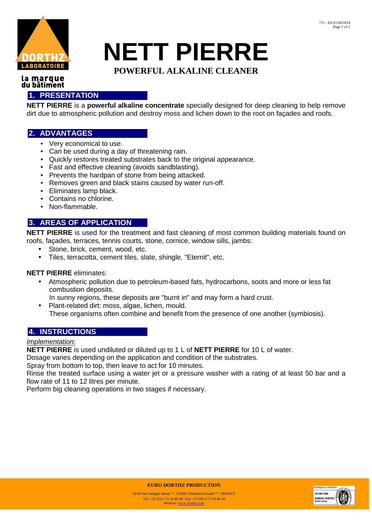

# **NETT PIERRE**

# **POWERFUL ALKALINE CLEANER**

#### la marque du bâtiment

### **1. PRESENTATION**

**NETT PIERRE** is a **powerful alkaline concentrate** specially designed for deep cleaning to help remove dirt due to atmospheric pollution and destroy moss and lichen down to the root on façades and roofs.

## **2. ADVANTAGES**

- Very economical to use.
- Can be used during a day of threatening rain.
- Quickly restores treated substrates back to the original appearance.
- Fast and effective cleaning (avoids sandblasting).
- Prevents the hardpan of stone from being attacked.
- Removes green and black stains caused by water run-off.
- Eliminates lamp black.
- Contains no chlorine.
- Non-flammable.

# **3. AREAS OF APPLICATION**

**NETT PIERRE** is used for the treatment and fast cleaning of most common building materials found on roofs, façades, terraces, tennis courts, stone, cornice, window sills, jambs:

- Stone, brick, cement, wood, etc.
- Tiles, terracotta, cement tiles, slate, shingle, "Eternit", etc.

#### **NETT PIERRE** eliminates:

• Atmospheric pollution due to petroleum-based fats, hydrocarbons, soots and more or less fat combustion deposits.

In sunny regions, these deposits are "burnt in" and may form a hard crust.

• Plant-related dirt: moss, algae, lichen, mould. These organisms often combine and benefit from the presence of one another (symbiosis).

#### **4. INSTRUCTIONS**

#### Implementation:

**NETT PIERRE** is used undiluted or diluted up to 1 L of **NETT PIERRE** for 10 L of water.

Dosage varies depending on the application and condition of the substrates.

Spray from bottom to top, then leave to act for 10 minutes.

Rinse the treated surface using a water jet or a pressure washer with a rating of at least 50 bar and a flow rate of 11 to 12 litres per minute.

Perform big cleaning operations in two stages if necessary.



**EURO DORTHZ PRODUCTION**